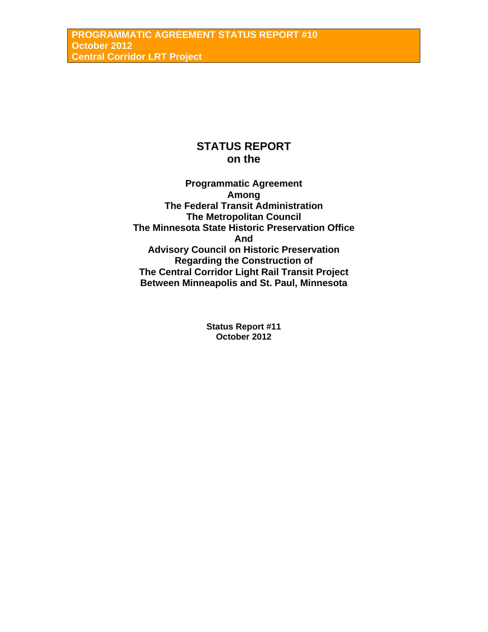# **STATUS REPORT on the**

**Programmatic Agreement Among The Federal Transit Administration The Metropolitan Council The Minnesota State Historic Preservation Office And Advisory Council on Historic Preservation Regarding the Construction of The Central Corridor Light Rail Transit Project Between Minneapolis and St. Paul, Minnesota** 

> **Status Report #11 October 2012**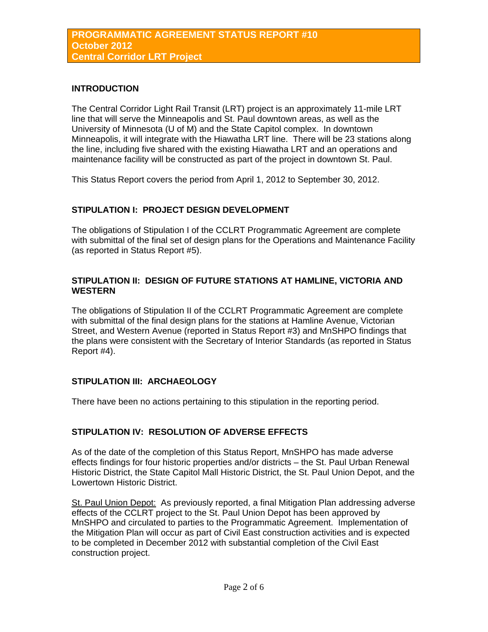### **INTRODUCTION**

The Central Corridor Light Rail Transit (LRT) project is an approximately 11-mile LRT line that will serve the Minneapolis and St. Paul downtown areas, as well as the University of Minnesota (U of M) and the State Capitol complex. In downtown Minneapolis, it will integrate with the Hiawatha LRT line. There will be 23 stations along the line, including five shared with the existing Hiawatha LRT and an operations and maintenance facility will be constructed as part of the project in downtown St. Paul.

This Status Report covers the period from April 1, 2012 to September 30, 2012.

### **STIPULATION I: PROJECT DESIGN DEVELOPMENT**

The obligations of Stipulation I of the CCLRT Programmatic Agreement are complete with submittal of the final set of design plans for the Operations and Maintenance Facility (as reported in Status Report #5).

### **STIPULATION II: DESIGN OF FUTURE STATIONS AT HAMLINE, VICTORIA AND WESTERN**

The obligations of Stipulation II of the CCLRT Programmatic Agreement are complete with submittal of the final design plans for the stations at Hamline Avenue, Victorian Street, and Western Avenue (reported in Status Report #3) and MnSHPO findings that the plans were consistent with the Secretary of Interior Standards (as reported in Status Report #4).

### **STIPULATION III: ARCHAEOLOGY**

There have been no actions pertaining to this stipulation in the reporting period.

### **STIPULATION IV: RESOLUTION OF ADVERSE EFFECTS**

As of the date of the completion of this Status Report, MnSHPO has made adverse effects findings for four historic properties and/or districts – the St. Paul Urban Renewal Historic District, the State Capitol Mall Historic District, the St. Paul Union Depot, and the Lowertown Historic District.

St. Paul Union Depot: As previously reported, a final Mitigation Plan addressing adverse effects of the CCLRT project to the St. Paul Union Depot has been approved by MnSHPO and circulated to parties to the Programmatic Agreement. Implementation of the Mitigation Plan will occur as part of Civil East construction activities and is expected to be completed in December 2012 with substantial completion of the Civil East construction project.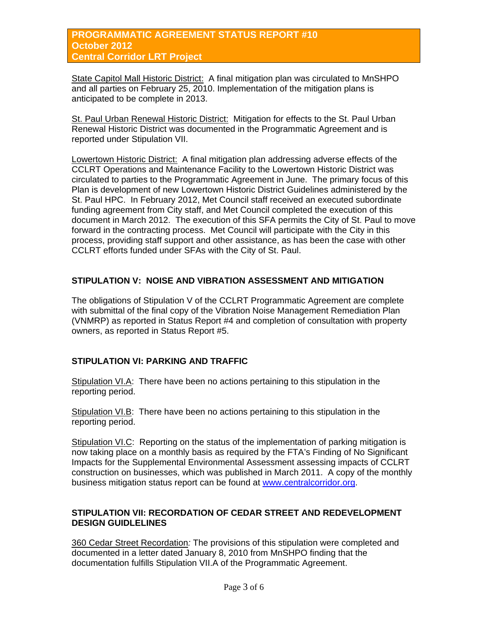### **PROGRAMMATIC AGREEMENT STATUS REPORT #10 October 2012 Central Corridor LRT Project**

State Capitol Mall Historic District: A final mitigation plan was circulated to MnSHPO and all parties on February 25, 2010. Implementation of the mitigation plans is anticipated to be complete in 2013.

St. Paul Urban Renewal Historic District: Mitigation for effects to the St. Paul Urban Renewal Historic District was documented in the Programmatic Agreement and is reported under Stipulation VII.

Lowertown Historic District: A final mitigation plan addressing adverse effects of the CCLRT Operations and Maintenance Facility to the Lowertown Historic District was circulated to parties to the Programmatic Agreement in June. The primary focus of this Plan is development of new Lowertown Historic District Guidelines administered by the St. Paul HPC. In February 2012, Met Council staff received an executed subordinate funding agreement from City staff, and Met Council completed the execution of this document in March 2012. The execution of this SFA permits the City of St. Paul to move forward in the contracting process. Met Council will participate with the City in this process, providing staff support and other assistance, as has been the case with other CCLRT efforts funded under SFAs with the City of St. Paul.

# **STIPULATION V: NOISE AND VIBRATION ASSESSMENT AND MITIGATION**

The obligations of Stipulation V of the CCLRT Programmatic Agreement are complete with submittal of the final copy of the Vibration Noise Management Remediation Plan (VNMRP) as reported in Status Report #4 and completion of consultation with property owners, as reported in Status Report #5.

# **STIPULATION VI: PARKING AND TRAFFIC**

Stipulation VI.A: There have been no actions pertaining to this stipulation in the reporting period.

Stipulation VI.B: There have been no actions pertaining to this stipulation in the reporting period.

Stipulation VI.C: Reporting on the status of the implementation of parking mitigation is now taking place on a monthly basis as required by the FTA's Finding of No Significant Impacts for the Supplemental Environmental Assessment assessing impacts of CCLRT construction on businesses, which was published in March 2011. A copy of the monthly business mitigation status report can be found at [www.centralcorridor.org.](http://www.centralcorridor.org/)

### **STIPULATION VII: RECORDATION OF CEDAR STREET AND REDEVELOPMENT DESIGN GUIDLELINES**

360 Cedar Street Recordation*:* The provisions of this stipulation were completed and documented in a letter dated January 8, 2010 from MnSHPO finding that the documentation fulfills Stipulation VII.A of the Programmatic Agreement.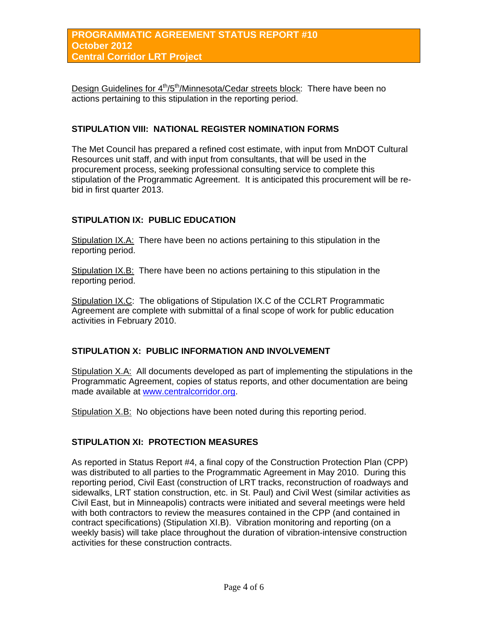Design Guidelines for  $4<sup>th</sup>/5<sup>th</sup>/Minnesota/Cedar streets block: There have been no$ actions pertaining to this stipulation in the reporting period.

### **STIPULATION VIII: NATIONAL REGISTER NOMINATION FORMS**

The Met Council has prepared a refined cost estimate, with input from MnDOT Cultural Resources unit staff, and with input from consultants, that will be used in the procurement process, seeking professional consulting service to complete this stipulation of the Programmatic Agreement. It is anticipated this procurement will be rebid in first quarter 2013.

### **STIPULATION IX: PUBLIC EDUCATION**

Stipulation IX.A: There have been no actions pertaining to this stipulation in the reporting period.

Stipulation IX.B: There have been no actions pertaining to this stipulation in the reporting period.

Stipulation IX.C: The obligations of Stipulation IX.C of the CCLRT Programmatic Agreement are complete with submittal of a final scope of work for public education activities in February 2010.

### **STIPULATION X: PUBLIC INFORMATION AND INVOLVEMENT**

Stipulation X.A: All documents developed as part of implementing the stipulations in the Programmatic Agreement, copies of status reports, and other documentation are being made available at [www.centralcorridor.org](http://www.centralcorridor.org/).

Stipulation X.B: No objections have been noted during this reporting period.

#### **STIPULATION XI: PROTECTION MEASURES**

As reported in Status Report #4, a final copy of the Construction Protection Plan (CPP) was distributed to all parties to the Programmatic Agreement in May 2010. During this reporting period, Civil East (construction of LRT tracks, reconstruction of roadways and sidewalks, LRT station construction, etc. in St. Paul) and Civil West (similar activities as Civil East, but in Minneapolis) contracts were initiated and several meetings were held with both contractors to review the measures contained in the CPP (and contained in contract specifications) (Stipulation XI.B). Vibration monitoring and reporting (on a weekly basis) will take place throughout the duration of vibration-intensive construction activities for these construction contracts.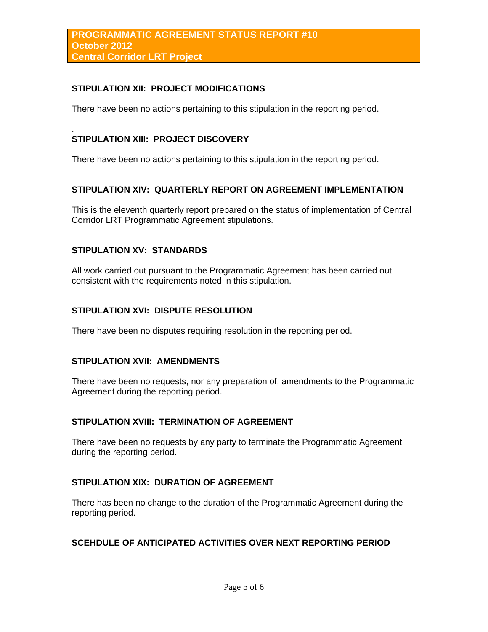### **STIPULATION XII: PROJECT MODIFICATIONS**

There have been no actions pertaining to this stipulation in the reporting period.

#### . **STIPULATION XIII: PROJECT DISCOVERY**

There have been no actions pertaining to this stipulation in the reporting period.

#### **STIPULATION XIV: QUARTERLY REPORT ON AGREEMENT IMPLEMENTATION**

This is the eleventh quarterly report prepared on the status of implementation of Central Corridor LRT Programmatic Agreement stipulations.

### **STIPULATION XV: STANDARDS**

All work carried out pursuant to the Programmatic Agreement has been carried out consistent with the requirements noted in this stipulation.

#### **STIPULATION XVI: DISPUTE RESOLUTION**

There have been no disputes requiring resolution in the reporting period.

#### **STIPULATION XVII: AMENDMENTS**

There have been no requests, nor any preparation of, amendments to the Programmatic Agreement during the reporting period.

# **STIPULATION XVIII: TERMINATION OF AGREEMENT**

There have been no requests by any party to terminate the Programmatic Agreement during the reporting period.

### **STIPULATION XIX: DURATION OF AGREEMENT**

There has been no change to the duration of the Programmatic Agreement during the reporting period.

### **SCEHDULE OF ANTICIPATED ACTIVITIES OVER NEXT REPORTING PERIOD**